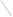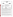| THE ENVIRONMENTAL TECHNOLOGY VERIFICATION |  |
|-------------------------------------------|--|
| <b>PROGRAM</b>                            |  |
| EIV                                       |  |
|                                           |  |





## **Verification Statement**

| <b>TECHNOLOGY TYPE:</b> | ANODIC STRIPPING VOLTAMMETRY                  |                                              |  |
|-------------------------|-----------------------------------------------|----------------------------------------------|--|
| <b>APPLICATION:</b>     | <b>MEASUREMENT OF LEAD IN DUST WIPES</b>      |                                              |  |
| <b>TECHNOLOGY NAME:</b> | <b>Scanning Analyzer SA-5000 System</b>       |                                              |  |
| <b>COMPANY:</b>         | <b>Palintest</b>                              |                                              |  |
| <b>ADDRESS:</b>         | 21 Kenton Lands Road<br>Erlanger, KY 41018    | PHONE: (859) 341-7423<br>FAX: (859) 341-2106 |  |
| WEB SITE:<br>$E-MAIL:$  | www.palintestusa.com<br>info@palintestusa.com |                                              |  |

The U.S. Environmental Protection Agency (EPA) has created the Environmental Technology Verification Program (ETV) to facilitate the deployment of innovative or improved environmental technologies through performance verification and dissemination of information. The goal of the ETV Program is to further environmental protection by substantially accelerating the acceptance and use of improved and cost-effective technologies. ETV seeks to achieve this goal by providing high-quality, peer-reviewed data on technology performance to those involved in the design, distribution, financing, permitting, purchase, and use of environmental technologies.

ETV works in partnership with recognized standards and testing organizations and stakeholder groups consisting of regulators, buyers, and vendor organizations, with the full participation of individual technology developers. The program evaluates the performance of innovative technologies by developing test plans that are responsive to the needs of stakeholders, conducting field or laboratory tests (as appropriate), collecting and analyzing data, and preparing peer-reviewed reports. All evaluations are conducted in accordance with rigorous quality assurance protocols to ensure that data of known and adequate quality are generated and that the results are defensible.

Oak Ridge National Laboratory (ORNL) is one of the verification organizations operating under the Advanced Monitoring Technology (AMT) Center. AMT, which is administered by EPA's National Exposure Research Laboratory (NERL), is one of six technology areas under ETV. In this verification test, ORNL evaluated the performance of lead in dust wipe measurement technologies. This verification statement provides a summary of the test results for Palintest's Scanning Analyzer SA-5000 system.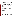## **VERIFICATION TEST DESCRIPTION**

This verification test was designed to evaluate technologies that detect and measure lead in dust wipes. The test was conducted at the Capitol Community Technical College in Hartford, CT, from November 5 through November 9, 2001. The vendors of commercially-available, field portable technologies blindly analyzed 160 dust wipe samples containing known amounts of lead, ranging in concentration from  $\leq$  2 to  $1,500 \mu$ g/wipe. The experimental design was particularly focused on important clearance levels, such as those identified in the Code of Federal Regulations of 40, 250, and 400  $\mu$ g/ft<sup>2</sup>. The samples included wipes newly-prepared and archived from the Environmental Lead Proficiency Analytical Testing Program (ELPAT). These samples were prepared from dust collected in households in North Carolina and Wisconsin. Also, newly-prepared samples were acquired from the University of Cincinnati (UC). The UC dust wipe samples were prepared from National Institute of Standards and Technology (NIST) Standard Reference Materials (SRMs). The results of the lead analyses generated by the technology were compared with results from analyses of similar samples by conventional laboratory methodology, in a laboratory that was recognized as proficient by the National Lead Laboratory Accreditation Program (NLLAP) for clearance testing. Details of the test, including a data summary and discussion of results, may be found in the report entitled *Environmental Technology Verification Report: Lead in Dust Wipe Detection Technology— Palintest, Scanning Analyzer SA-5000 System,* EPA/600/R-02/057.

## **TECHNOLOGY DESCRIPTION**

The Scanning Analyzer SA-5000 system uses the electrochemical technique of stripping analysis to specifically determine the concentration of lead in a solution. Anodic stripping analysis is a two step process. The first step is called the deposition step and involves the electro-deposition of lead into a disposable mercury-film electrode. The deposition is achieved by cathodic deposition at a fixed potential and time. Following the fixed deposition time, the system enters the second step, the stripping or measurement step. The stripping step involves scanning the potential anodically using a potential-time waveform. During this anodic scan the deposited lead is reoxidized and stripped out of the electrode. The current and potential are measured during the anodic scan and the resulting voltammogram contains a peak whose potential is specific to lead and whose height is proportional to the concentration of lead in the solution. The peak height is converted from a current to a concentration using one of many calibration curves stored in the instrument. No user calibration is required because each batch of electrodes is checked during manufacture and assigned an eight figure calibration code. The calibration code is used to select the calibration curve which matches the electrode batch. Reporting limits during this verification test were  $25 \mu g/wipe$ .

## **VERIFICATION OF PERFORMANCE**

The following performance characteristics of the SA-5000 were observed:

*Precision:* Precision—based on the average percent relative standard deviation—was 6%.

*Accuracy:* Accuracy was assessed using the estimated concentrations of the ELPAT and UC samples. The average percent recovery value for all samples reported above 25  $\mu$ g/wipe was 86%. This negative bias is statistically significant, but within the acceptable bias range of  $100\% \pm 25\%$ .

*Comparability:* A comparison of the SA-5000 results and the NLLAP-recognized laboratory results was performed for all samples (ELPAT and UC) that were reported above 25  $\mu$ g/wipe. The correlation coefficient (*r*) for the comparison of the entire dust wipe data set was 0.995 [slope (*m*) = 0.93, intercept = 3.74], indicating good agreement with the NLLAP laboratory data.